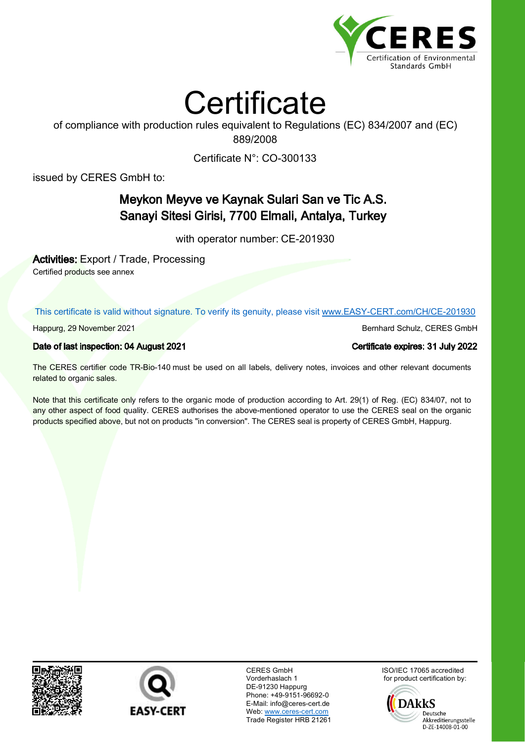



of compliance with production rules equivalent to Regulations (EC) 834/2007 and (EC) 889/2008

Certificate N°: CO-300133

issued by CERES GmbH to:

## Meykon Meyve ve Kaynak Sulari San ve Tic A.S. Sanayi Sitesi Girisi, 7700 Elmali, Antalya, Turkey

with operator number: CE-201930

Activities: Export / Trade, Processing

Certified products see annex

This certificate is valid without signature. To verify its genuity, please visit www.EASY-CERT.com/CH/CE-201930

Date of last inspection: 04 August 2021 Certificate expires: 31 July 2022

The CERES certifier code TR-Bio-140 must be used on all labels, delivery notes, invoices and other relevant documents related to organic sales.

Note that this certificate only refers to the organic mode of production according to Art. 29(1) of Reg. (EC) 834/07, not to any other aspect of food quality. CERES authorises the above-mentioned operator to use the CERES seal on the organic products specified above, but not on products "in conversion". The CERES seal is property of CERES GmbH, Happurg.





CERES GmbH Vorderhaslach 1 DE-91230 Happurg Phone: +49-9151-96692-0 E-Mail: info@ceres-cert.de Web: www.ceres-cert.com Trade Register HRB 21261 ISO/IEC 17065 accredited for product certification by:



Happurg, 29 November 2021 Bernhard Schulz, CERES GmbH